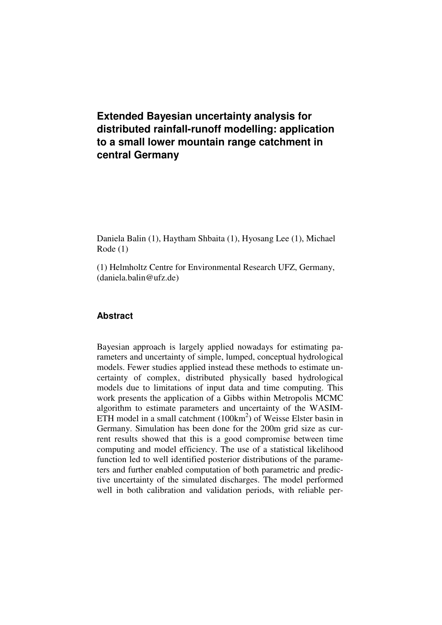# **Extended Bayesian uncertainty analysis for distributed rainfall-runoff modelling: application to a small lower mountain range catchment in central Germany**

Daniela Balin (1), Haytham Shbaita (1), Hyosang Lee (1), Michael Rode (1)

(1) Helmholtz Centre for Environmental Research UFZ, Germany, (daniela.balin@ufz.de)

# **Abstract**

Bayesian approach is largely applied nowadays for estimating parameters and uncertainty of simple, lumped, conceptual hydrological models. Fewer studies applied instead these methods to estimate uncertainty of complex, distributed physically based hydrological models due to limitations of input data and time computing. This work presents the application of a Gibbs within Metropolis MCMC algorithm to estimate parameters and uncertainty of the WASIM-ETH model in a small catchment  $(100 \text{km}^2)$  of Weisse Elster basin in Germany. Simulation has been done for the 200m grid size as current results showed that this is a good compromise between time computing and model efficiency. The use of a statistical likelihood function led to well identified posterior distributions of the parameters and further enabled computation of both parametric and predictive uncertainty of the simulated discharges. The model performed well in both calibration and validation periods, with reliable per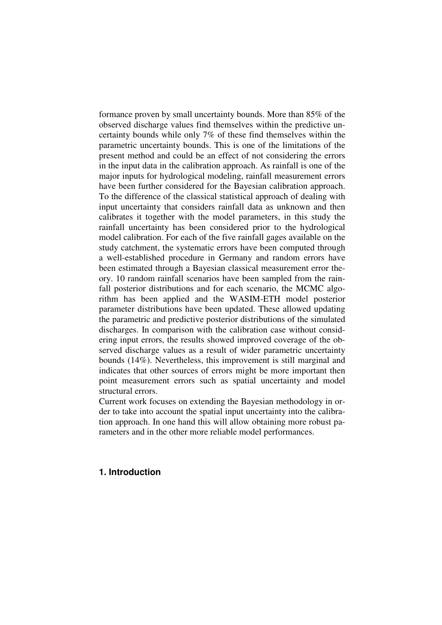formance proven by small uncertainty bounds. More than 85% of the observed discharge values find themselves within the predictive uncertainty bounds while only 7% of these find themselves within the parametric uncertainty bounds. This is one of the limitations of the present method and could be an effect of not considering the errors in the input data in the calibration approach. As rainfall is one of the major inputs for hydrological modeling, rainfall measurement errors have been further considered for the Bayesian calibration approach. To the difference of the classical statistical approach of dealing with input uncertainty that considers rainfall data as unknown and then calibrates it together with the model parameters, in this study the rainfall uncertainty has been considered prior to the hydrological model calibration. For each of the five rainfall gages available on the study catchment, the systematic errors have been computed through a well-established procedure in Germany and random errors have been estimated through a Bayesian classical measurement error theory. 10 random rainfall scenarios have been sampled from the rainfall posterior distributions and for each scenario, the MCMC algorithm has been applied and the WASIM-ETH model posterior parameter distributions have been updated. These allowed updating the parametric and predictive posterior distributions of the simulated discharges. In comparison with the calibration case without considering input errors, the results showed improved coverage of the observed discharge values as a result of wider parametric uncertainty bounds (14%). Nevertheless, this improvement is still marginal and indicates that other sources of errors might be more important then point measurement errors such as spatial uncertainty and model structural errors.

Current work focuses on extending the Bayesian methodology in order to take into account the spatial input uncertainty into the calibration approach. In one hand this will allow obtaining more robust parameters and in the other more reliable model performances.

# **1. Introduction**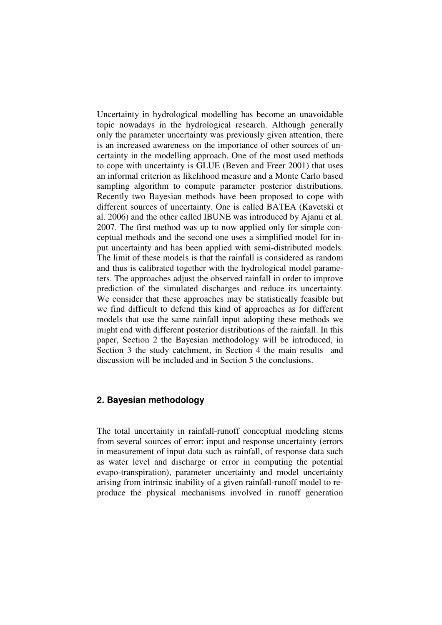Uncertainty in hydrological modelling has become an unavoidable topic nowadays in the hydrological research. Although generally only the parameter uncertainty was previously given attention, there is an increased awareness on the importance of other sources of uncertainty in the modelling approach. One of the most used methods to cope with uncertainty is GLUE (Beven and Freer 2001) that uses an informal criterion as likelihood measure and a Monte Carlo based sampling algorithm to compute parameter posterior distributions. Recently two Bayesian methods have been proposed to cope with different sources of uncertainty. One is called BATEA (Kavetski et al. 2006) and the other called IBUNE was introduced by Ajami et al. 2007. The first method was up to now applied only for simple conceptual methods and the second one uses a simplified model for input uncertainty and has been applied with semi-distributed models. The limit of these models is that the rainfall is considered as random and thus is calibrated together with the hydrological model parameters. The approaches adjust the observed rainfall in order to improve prediction of the simulated discharges and reduce its uncertainty. We consider that these approaches may be statistically feasible but we find difficult to defend this kind of approaches as for different models that use the same rainfall input adopting these methods we might end with different posterior distributions of the rainfall. In this paper, Section 2 the Bayesian methodology will be introduced, in Section 3 the study catchment, in Section 4 the main results and discussion will be included and in Section 5 the conclusions.

# **2. Bayesian methodology**

The total uncertainty in rainfall-runoff conceptual modeling stems from several sources of error: input and response uncertainty (errors in measurement of input data such as rainfall, of response data such as water level and discharge or error in computing the potential evapo-transpiration), parameter uncertainty and model uncertainty arising from intrinsic inability of a given rainfall-runoff model to reproduce the physical mechanisms involved in runoff generation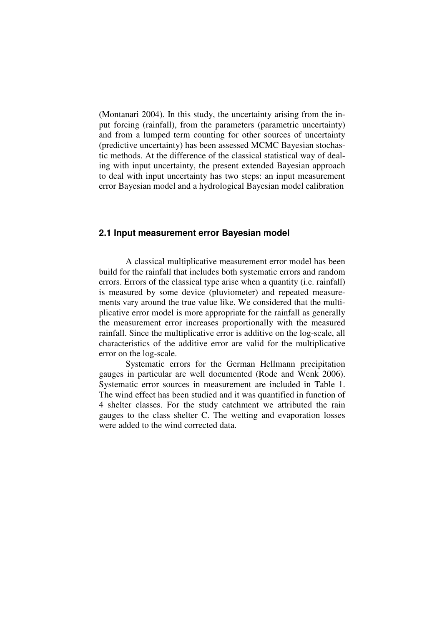(Montanari 2004). In this study, the uncertainty arising from the input forcing (rainfall), from the parameters (parametric uncertainty) and from a lumped term counting for other sources of uncertainty (predictive uncertainty) has been assessed MCMC Bayesian stochastic methods. At the difference of the classical statistical way of dealing with input uncertainty, the present extended Bayesian approach to deal with input uncertainty has two steps: an input measurement error Bayesian model and a hydrological Bayesian model calibration

#### **2.1 Input measurement error Bayesian model**

A classical multiplicative measurement error model has been build for the rainfall that includes both systematic errors and random errors. Errors of the classical type arise when a quantity (i.e. rainfall) is measured by some device (pluviometer) and repeated measurements vary around the true value like. We considered that the multiplicative error model is more appropriate for the rainfall as generally the measurement error increases proportionally with the measured rainfall. Since the multiplicative error is additive on the log-scale, all characteristics of the additive error are valid for the multiplicative error on the log-scale.

Systematic errors for the German Hellmann precipitation gauges in particular are well documented (Rode and Wenk 2006). Systematic error sources in measurement are included in Table 1. The wind effect has been studied and it was quantified in function of 4 shelter classes. For the study catchment we attributed the rain gauges to the class shelter C. The wetting and evaporation losses were added to the wind corrected data.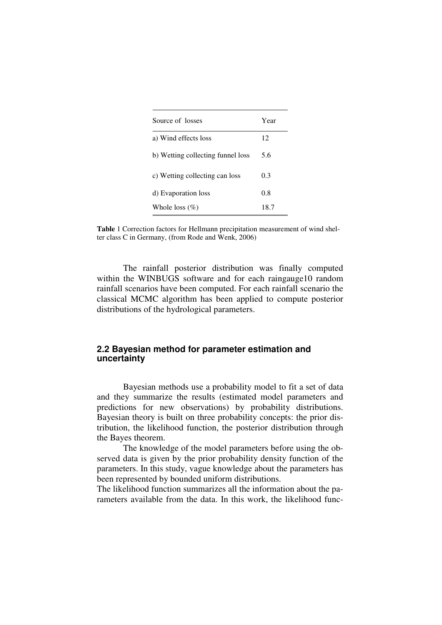| Source of losses                  | Year |  |
|-----------------------------------|------|--|
| a) Wind effects loss              | 12   |  |
| b) Wetting collecting funnel loss | 5.6  |  |
| c) Wetting collecting can loss    | 0.3  |  |
| d) Evaporation loss               | 0.8  |  |
| Whole loss $(\%)$                 | 18.7 |  |

**Table** 1 Correction factors for Hellmann precipitation measurement of wind shelter class C in Germany, (from Rode and Wenk, 2006)

The rainfall posterior distribution was finally computed within the WINBUGS software and for each raingauge10 random rainfall scenarios have been computed. For each rainfall scenario the classical MCMC algorithm has been applied to compute posterior distributions of the hydrological parameters.

### **2.2 Bayesian method for parameter estimation and uncertainty**

Bayesian methods use a probability model to fit a set of data and they summarize the results (estimated model parameters and predictions for new observations) by probability distributions. Bayesian theory is built on three probability concepts: the prior distribution, the likelihood function, the posterior distribution through the Bayes theorem.

The knowledge of the model parameters before using the observed data is given by the prior probability density function of the parameters. In this study, vague knowledge about the parameters has been represented by bounded uniform distributions.

The likelihood function summarizes all the information about the parameters available from the data. In this work, the likelihood func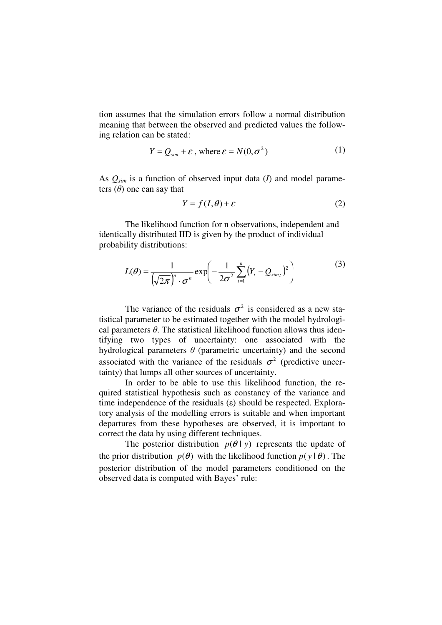tion assumes that the simulation errors follow a normal distribution meaning that between the observed and predicted values the following relation can be stated:

$$
Y = Q_{\text{sim}} + \varepsilon \text{ , where } \varepsilon = N(0, \sigma^2) \tag{1}
$$

As *Qsim* is a function of observed input data (*I*) and model parameters  $(\theta)$  one can say that

$$
Y = f(I, \theta) + \varepsilon \tag{2}
$$

The likelihood function for n observations, independent and identically distributed IID is given by the product of individual probability distributions:

$$
L(\theta) = \frac{1}{\left(\sqrt{2\pi}\right)^n \cdot \sigma^n} \exp\left(-\frac{1}{2\sigma^2} \sum_{t=1}^n (Y_t - Q_{simt})^2\right)
$$
 (3)

The variance of the residuals  $\sigma^2$  is considered as a new statistical parameter to be estimated together with the model hydrological parameters  $\theta$ . The statistical likelihood function allows thus identifying two types of uncertainty: one associated with the hydrological parameters  $\theta$  (parametric uncertainty) and the second associated with the variance of the residuals  $\sigma^2$  (predictive uncertainty) that lumps all other sources of uncertainty.

In order to be able to use this likelihood function, the required statistical hypothesis such as constancy of the variance and time independence of the residuals  $(\varepsilon)$  should be respected. Exploratory analysis of the modelling errors is suitable and when important departures from these hypotheses are observed, it is important to correct the data by using different techniques.

The posterior distribution  $p(\theta | y)$  represents the update of the prior distribution  $p(\theta)$  with the likelihood function  $p(y | \theta)$ . The posterior distribution of the model parameters conditioned on the observed data is computed with Bayes' rule: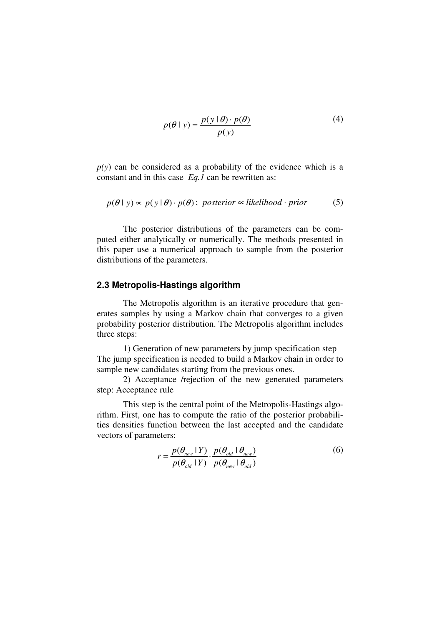$$
p(\theta \mid y) = \frac{p(y \mid \theta) \cdot p(\theta)}{p(y)}
$$
(4)

 $p(y)$  can be considered as a probability of the evidence which is a constant and in this case *Eq.1* can be rewritten as:

$$
p(\theta \mid y) \propto p(y \mid \theta) \cdot p(\theta); \text{ posterior } \propto \text{likelihood} \cdot \text{prior} \tag{5}
$$

The posterior distributions of the parameters can be computed either analytically or numerically. The methods presented in this paper use a numerical approach to sample from the posterior distributions of the parameters.

#### **2.3 Metropolis-Hastings algorithm**

The Metropolis algorithm is an iterative procedure that generates samples by using a Markov chain that converges to a given probability posterior distribution. The Metropolis algorithm includes three steps:

1) Generation of new parameters by jump specification step The jump specification is needed to build a Markov chain in order to sample new candidates starting from the previous ones.

2) Acceptance /rejection of the new generated parameters step: Acceptance rule

This step is the central point of the Metropolis-Hastings algorithm. First, one has to compute the ratio of the posterior probabilities densities function between the last accepted and the candidate vectors of parameters:

$$
r = \frac{p(\theta_{new} | Y)}{p(\theta_{old} | Y)} \cdot \frac{p(\theta_{old} | \theta_{new})}{p(\theta_{new} | \theta_{old})}
$$
(6)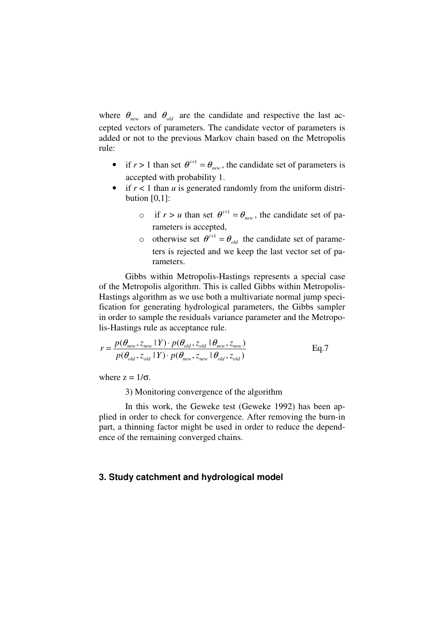where  $\theta_{\text{new}}$  and  $\theta_{\text{old}}$  are the candidate and respective the last accepted vectors of parameters. The candidate vector of parameters is added or not to the previous Markov chain based on the Metropolis rule:

- if  $r > 1$  than set  $\theta^{i+1} = \theta_{new}$ , the candidate set of parameters is accepted with probability 1.
- if  $r < 1$  than  $u$  is generated randomly from the uniform distribution  $[0,1]$ :
	- o if  $r > u$  than set  $\theta^{i+1} = \theta_{new}$ , the candidate set of parameters is accepted,
	- o otherwise set  $\theta^{i+1} = \theta_{old}$  the candidate set of parameters is rejected and we keep the last vector set of parameters.

Gibbs within Metropolis-Hastings represents a special case of the Metropolis algorithm. This is called Gibbs within Metropolis-Hastings algorithm as we use both a multivariate normal jump specification for generating hydrological parameters, the Gibbs sampler in order to sample the residuals variance parameter and the Metropolis-Hastings rule as acceptance rule.

$$
r = \frac{p(\theta_{new}, z_{new} | Y) \cdot p(\theta_{old}, z_{old} | \theta_{new}, z_{new})}{p(\theta_{old}, z_{old} | Y) \cdot p(\theta_{new}, z_{new} | \theta_{old}, z_{old})}
$$
 Eq.7

where  $z = 1/\sigma$ .

3) Monitoring convergence of the algorithm

In this work, the Geweke test (Geweke 1992) has been applied in order to check for convergence. After removing the burn-in part, a thinning factor might be used in order to reduce the dependence of the remaining converged chains.

# **3. Study catchment and hydrological model**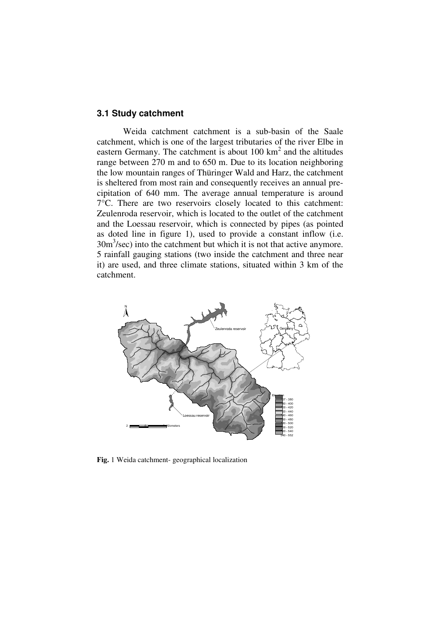# **3.1 Study catchment**

Weida catchment catchment is a sub-basin of the Saale catchment, which is one of the largest tributaries of the river Elbe in eastern Germany. The catchment is about  $100 \text{ km}^2$  and the altitudes range between 270 m and to 650 m. Due to its location neighboring the low mountain ranges of Thüringer Wald and Harz, the catchment is sheltered from most rain and consequently receives an annual precipitation of 640 mm. The average annual temperature is around 7°C. There are two reservoirs closely located to this catchment: Zeulenroda reservoir, which is located to the outlet of the catchment and the Loessau reservoir, which is connected by pipes (as pointed as doted line in figure 1), used to provide a constant inflow (i.e.  $30m<sup>3</sup>/sec$ ) into the catchment but which it is not that active anymore. 5 rainfall gauging stations (two inside the catchment and three near it) are used, and three climate stations, situated within 3 km of the catchment.



**Fig.** 1 Weida catchment- geographical localization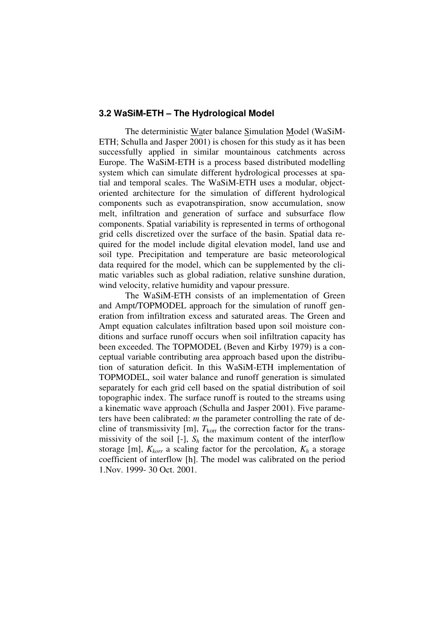### **3.2 WaSiM-ETH – The Hydrological Model**

The deterministic Water balance Simulation Model (WaSiM-ETH; Schulla and Jasper 2001) is chosen for this study as it has been successfully applied in similar mountainous catchments across Europe. The WaSiM-ETH is a process based distributed modelling system which can simulate different hydrological processes at spatial and temporal scales. The WaSiM-ETH uses a modular, objectoriented architecture for the simulation of different hydrological components such as evapotranspiration, snow accumulation, snow melt, infiltration and generation of surface and subsurface flow components. Spatial variability is represented in terms of orthogonal grid cells discretized over the surface of the basin. Spatial data required for the model include digital elevation model, land use and soil type. Precipitation and temperature are basic meteorological data required for the model, which can be supplemented by the climatic variables such as global radiation, relative sunshine duration, wind velocity, relative humidity and vapour pressure.

The WaSiM-ETH consists of an implementation of Green and Ampt/TOPMODEL approach for the simulation of runoff generation from infiltration excess and saturated areas. The Green and Ampt equation calculates infiltration based upon soil moisture conditions and surface runoff occurs when soil infiltration capacity has been exceeded. The TOPMODEL (Beven and Kirby 1979) is a conceptual variable contributing area approach based upon the distribution of saturation deficit. In this WaSiM-ETH implementation of TOPMODEL, soil water balance and runoff generation is simulated separately for each grid cell based on the spatial distribution of soil topographic index. The surface runoff is routed to the streams using a kinematic wave approach (Schulla and Jasper 2001). Five parameters have been calibrated: *m* the parameter controlling the rate of decline of transmissivity [m],  $T_{\text{korr}}$  the correction factor for the transmissivity of the soil [-],  $S_h$  the maximum content of the interflow storage [m],  $K_{\text{korr}}$  a scaling factor for the percolation,  $K_h$  a storage coefficient of interflow [h]. The model was calibrated on the period 1.Nov. 1999- 30 Oct. 2001.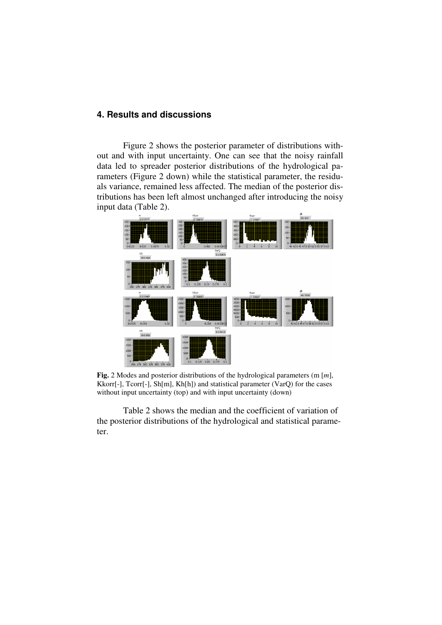# **4. Results and discussions**

Figure 2 shows the posterior parameter of distributions without and with input uncertainty. One can see that the noisy rainfall data led to spreader posterior distributions of the hydrological parameters (Figure 2 down) while the statistical parameter, the residuals variance, remained less affected. The median of the posterior distributions has been left almost unchanged after introducing the noisy input data (Table 2).



**Fig.** 2 Modes and posterior distributions of the hydrological parameters (m [*m*], Kkorr[-], Tcorr[-], Sh[m], Kh[h]) and statistical parameter (VarQ) for the cases without input uncertainty (top) and with input uncertainty (down)

Table 2 shows the median and the coefficient of variation of the posterior distributions of the hydrological and statistical parameter.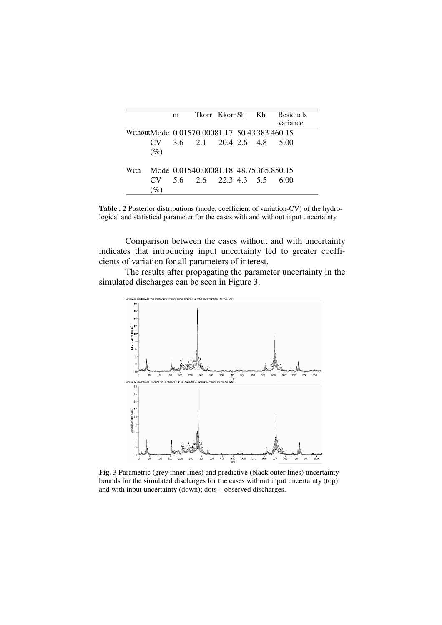|      |                                              | m | Tkorr Kkorr-Sh – Kh                   |  | Residuals<br>variance |
|------|----------------------------------------------|---|---------------------------------------|--|-----------------------|
|      | WithoutMode 0.01570.00081.17 50.43383.460.15 |   |                                       |  |                       |
|      | CV.                                          |   | $3.6$ $2.1$ $20.4$ $2.6$ $4.8$        |  | 500                   |
|      | (%)                                          |   |                                       |  |                       |
| With |                                              |   | Mode 0.01540.00081.18 48.75365.850.15 |  |                       |
|      | CV.                                          |   | 5.6 2.6 22.3 4.3 5.5                  |  | 600                   |
|      |                                              |   |                                       |  |                       |

**Table .** 2 Posterior distributions (mode, coefficient of variation-CV) of the hydrological and statistical parameter for the cases with and without input uncertainty

Comparison between the cases without and with uncertainty indicates that introducing input uncertainty led to greater coefficients of variation for all parameters of interest.

The results after propagating the parameter uncertainty in the simulated discharges can be seen in Figure 3.



**Fig.** 3 Parametric (grey inner lines) and predictive (black outer lines) uncertainty bounds for the simulated discharges for the cases without input uncertainty (top) and with input uncertainty (down); dots – observed discharges.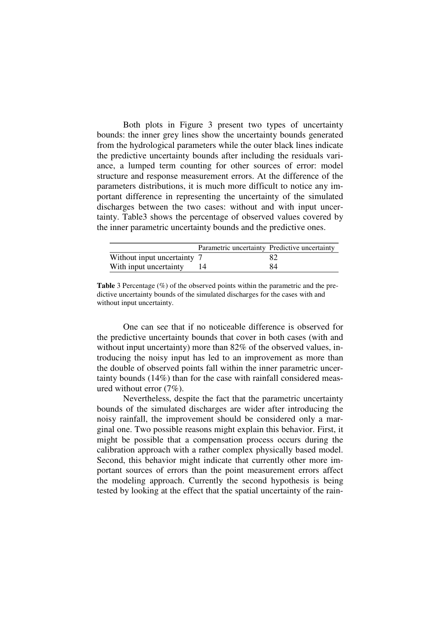Both plots in Figure 3 present two types of uncertainty bounds: the inner grey lines show the uncertainty bounds generated from the hydrological parameters while the outer black lines indicate the predictive uncertainty bounds after including the residuals variance, a lumped term counting for other sources of error: model structure and response measurement errors. At the difference of the parameters distributions, it is much more difficult to notice any important difference in representing the uncertainty of the simulated discharges between the two cases: without and with input uncertainty. Table3 shows the percentage of observed values covered by the inner parametric uncertainty bounds and the predictive ones.

|                             | Parametric uncertainty Predictive uncertainty |    |
|-----------------------------|-----------------------------------------------|----|
| Without input uncertainty 7 |                                               |    |
| With input uncertainty      |                                               | 84 |

**Table** 3 Percentage (%) of the observed points within the parametric and the predictive uncertainty bounds of the simulated discharges for the cases with and without input uncertainty.

One can see that if no noticeable difference is observed for the predictive uncertainty bounds that cover in both cases (with and without input uncertainty) more than 82% of the observed values, introducing the noisy input has led to an improvement as more than the double of observed points fall within the inner parametric uncertainty bounds (14%) than for the case with rainfall considered measured without error  $(7\%)$ .

Nevertheless, despite the fact that the parametric uncertainty bounds of the simulated discharges are wider after introducing the noisy rainfall, the improvement should be considered only a marginal one. Two possible reasons might explain this behavior. First, it might be possible that a compensation process occurs during the calibration approach with a rather complex physically based model. Second, this behavior might indicate that currently other more important sources of errors than the point measurement errors affect the modeling approach. Currently the second hypothesis is being tested by looking at the effect that the spatial uncertainty of the rain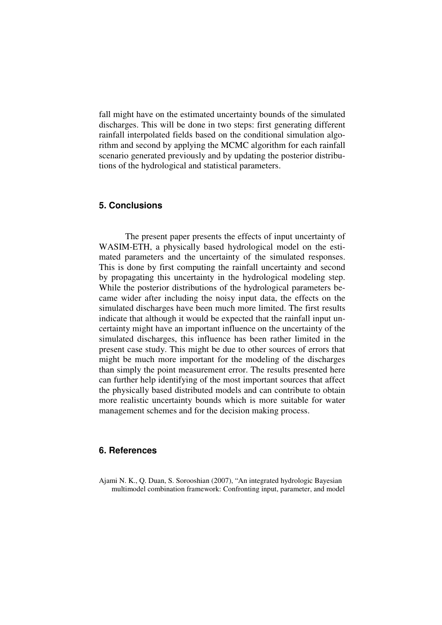fall might have on the estimated uncertainty bounds of the simulated discharges. This will be done in two steps: first generating different rainfall interpolated fields based on the conditional simulation algorithm and second by applying the MCMC algorithm for each rainfall scenario generated previously and by updating the posterior distributions of the hydrological and statistical parameters.

# **5. Conclusions**

The present paper presents the effects of input uncertainty of WASIM-ETH, a physically based hydrological model on the estimated parameters and the uncertainty of the simulated responses. This is done by first computing the rainfall uncertainty and second by propagating this uncertainty in the hydrological modeling step. While the posterior distributions of the hydrological parameters became wider after including the noisy input data, the effects on the simulated discharges have been much more limited. The first results indicate that although it would be expected that the rainfall input uncertainty might have an important influence on the uncertainty of the simulated discharges, this influence has been rather limited in the present case study. This might be due to other sources of errors that might be much more important for the modeling of the discharges than simply the point measurement error. The results presented here can further help identifying of the most important sources that affect the physically based distributed models and can contribute to obtain more realistic uncertainty bounds which is more suitable for water management schemes and for the decision making process.

# **6. References**

Ajami N. K., Q. Duan, S. Sorooshian (2007), "An integrated hydrologic Bayesian multimodel combination framework: Confronting input, parameter, and model